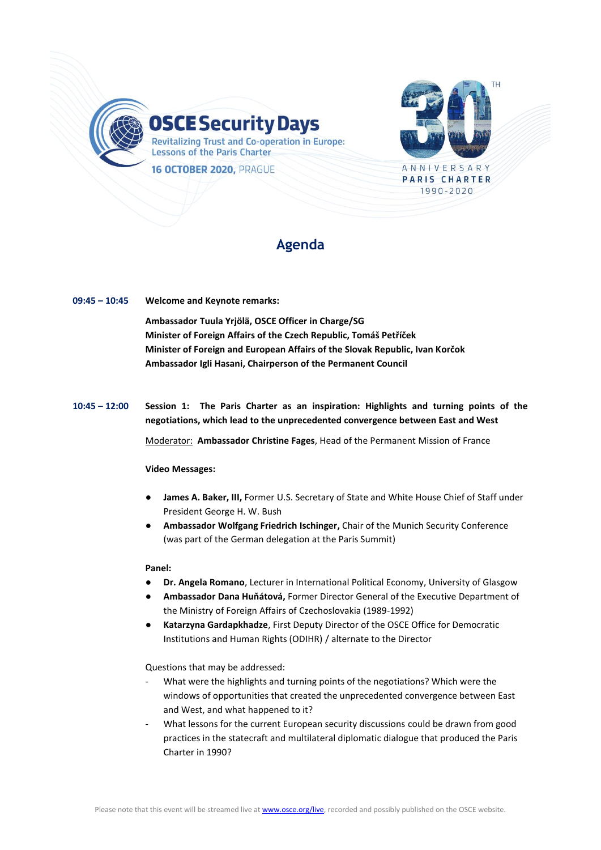



# **Agenda**

**09:45 – 10:45 Welcome and Keynote remarks:**

**Ambassador Tuula Yrjölä, OSCE Officer in Charge/SG Minister of Foreign Affairs of the Czech Republic, Tomáš Petříček Minister of Foreign and European Affairs of the Slovak Republic, Ivan Korčok Ambassador Igli Hasani, Chairperson of the Permanent Council**

## **10:45 – 12:00 Session 1: The Paris Charter as an inspiration: Highlights and turning points of the negotiations, which lead to the unprecedented convergence between East and West**

Moderator: **Ambassador Christine Fages**, Head of the Permanent Mission of France

#### **Video Messages:**

- James A. Baker, III, Former U.S. Secretary of State and White House Chief of Staff under President George H. W. Bush
- **Ambassador Wolfgang Friedrich Ischinger,** Chair of the Munich Security Conference (was part of the German delegation at the Paris Summit)

#### **Panel:**

- **Dr. Angela Romano**, Lecturer in International Political Economy, University of Glasgow
- **Ambassador Dana Huňátová,** Former Director General of the Executive Department of the Ministry of Foreign Affairs of Czechoslovakia (1989-1992)
- **Katarzyna Gardapkhadze**, First Deputy Director of the OSCE Office for Democratic Institutions and Human Rights (ODIHR) / alternate to the Director

Questions that may be addressed:

- What were the highlights and turning points of the negotiations? Which were the windows of opportunities that created the unprecedented convergence between East and West, and what happened to it?
- What lessons for the current European security discussions could be drawn from good practices in the statecraft and multilateral diplomatic dialogue that produced the Paris Charter in 1990?